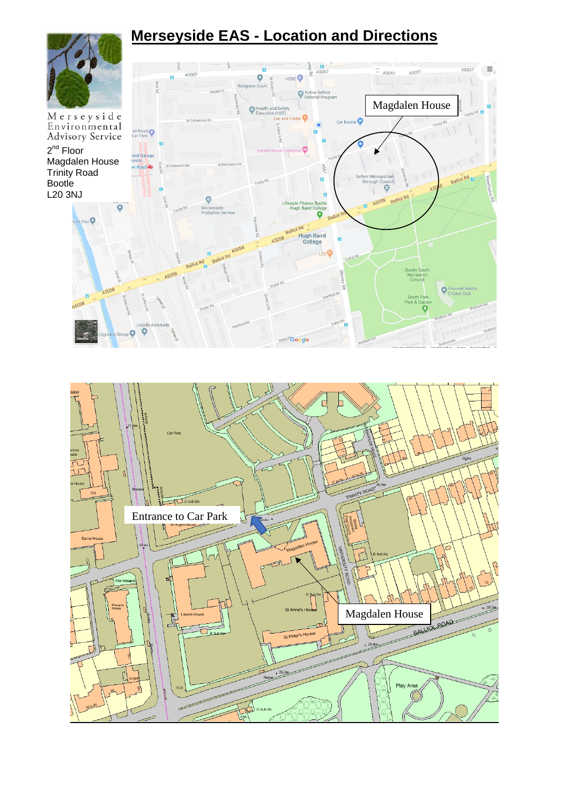# **Merseyside EAS - Location and Directions**